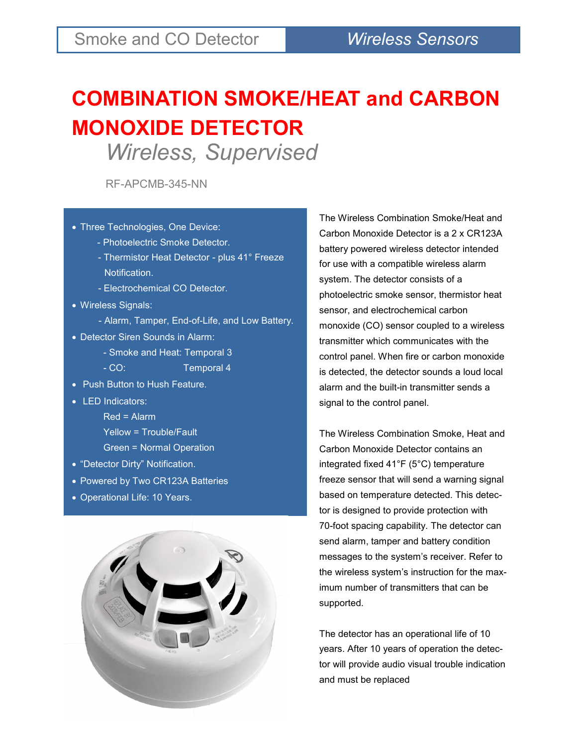## **COMBINATION SMOKE/HEAT and CARBON MONOXIDE DETECTOR** *Wireless, Supervised*

RF-APCMB-345-NN

- Three Technologies, One Device:
	- Photoelectric Smoke Detector.
	- Thermistor Heat Detector plus 41° Freeze Notification.
	- Electrochemical CO Detector.
- Wireless Signals:
	- Alarm, Tamper, End-of-Life, and Low Battery.
- Detector Siren Sounds in Alarm:
	- Smoke and Heat: Temporal 3
	- CO: Temporal 4
- Push Button to Hush Feature.
- LED Indicators:
	- Red = Alarm Yellow = Trouble/Fault Green = Normal Operation
- "Detector Dirty" Notification.
- Powered by Two CR123A Batteries
- Operational Life: 10 Years.



The Wireless Combination Smoke/Heat and Carbon Monoxide Detector is a 2 x CR123A battery powered wireless detector intended for use with a compatible wireless alarm system. The detector consists of a photoelectric smoke sensor, thermistor heat sensor, and electrochemical carbon monoxide (CO) sensor coupled to a wireless transmitter which communicates with the control panel. When fire or carbon monoxide is detected, the detector sounds a loud local alarm and the built-in transmitter sends a signal to the control panel.

The Wireless Combination Smoke, Heat and Carbon Monoxide Detector contains an integrated fixed 41°F (5°C) temperature freeze sensor that will send a warning signal based on temperature detected. This detector is designed to provide protection with 70-foot spacing capability. The detector can send alarm, tamper and battery condition messages to the system's receiver. Refer to the wireless system's instruction for the maximum number of transmitters that can be supported.

The detector has an operational life of 10 years. After 10 years of operation the detector will provide audio visual trouble indication and must be replaced